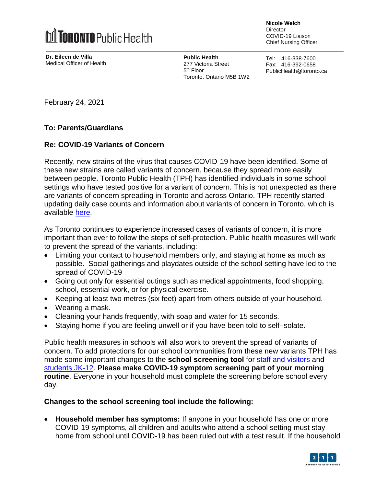

**Dr. Eileen de Villa** Medical Officer of Health **Nicole Welch Director** 

COVID-19 Liaison Chief Nursing Officer

**Public Health** 277 Victoria Street 5<sup>th</sup> Floor Toronto, Ontario M5B 1W2 Tel: 416-338-7600 Fax: 416-392-0658 PublicHealth@toronto.ca

February 24, 2021

## **To: Parents/Guardians**

## **Re: COVID-19 Variants of Concern**

Recently, new strains of the virus that causes COVID-19 have been identified. Some of these new strains are called variants of concern, because they spread more easily between people. Toronto Public Health (TPH) has identified individuals in some school settings who have tested positive for a variant of concern. This is not unexpected as there are variants of concern spreading in Toronto and across Ontario. TPH recently started updating daily case counts and information about variants of concern in Toronto, which is available [here.](https://www.toronto.ca/home/covid-19/covid-19-latest-city-of-toronto-news/covid-19-status-of-cases-in-toronto/)

As Toronto continues to experience increased cases of variants of concern, it is more important than ever to follow the steps of self-protection. Public health measures will work to prevent the spread of the variants, including:

- Limiting your contact to household members only, and staying at home as much as possible. Social gatherings and playdates outside of the school setting have led to the spread of COVID-19
- Going out only for essential outings such as medical appointments, food shopping, school, essential work, or for physical exercise.
- Keeping at least two metres (six feet) apart from others outside of your household.
- Wearing a mask.
- Cleaning your hands frequently, with soap and water for 15 seconds.
- Staying home if you are feeling unwell or if you have been told to self-isolate.

Public health measures in schools will also work to prevent the spread of variants of concern. To add protections for our school communities from these new variants TPH has made some important changes to the **school screening tool** for staff and [visitors](https://www.toronto.ca/wp-content/uploads/2020/12/9242-Screening-Questionaire-for-Staff-Visitors.pdf) and [students](https://www.toronto.ca/wp-content/uploads/2020/08/94e5-Survey-poster-Schools.pdf) JK-12. **Please make COVID-19 symptom screening part of your morning routine**. Everyone in your household must complete the screening before school every day.

## **Changes to the school screening tool include the following:**

 **Household member has symptoms:** If anyone in your household has one or more COVID-19 symptoms, all children and adults who attend a school setting must stay home from school until COVID-19 has been ruled out with a test result. If the household